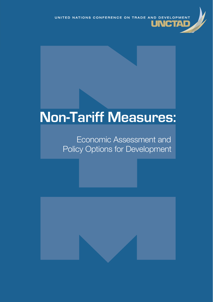# **Non-Tariff Measures:**

# Economic Assessment and Policy Options for Development

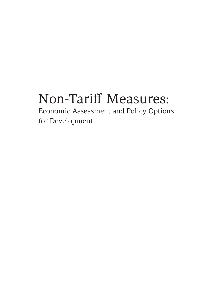# Non-Tariff Measures:

Economic Assessment and Policy Options for Development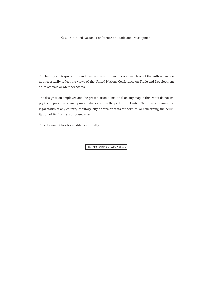© 2018, United Nations Conference on Trade and Development

The findings, interpretations and conclusions expressed herein are those of the authors and do not necessarily reflect the views of the United Nations Conference on Trade and Development or its officials or Member States.

The designation employed and the presentation of material on any map in this work do not imply the expression of any opinion whatsoever on the part of the United Nations concerning the legal status of any country, territory, city or area or of its authorities, or concerning the delimitation of its frontiers or boundaries.

This document has been edited externally.

UNCTAD/DITC/TAB/2017/2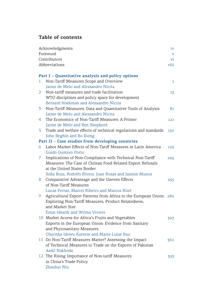# **Table of contents**

|   | Acknowledgments                                                     | iv                      |
|---|---------------------------------------------------------------------|-------------------------|
|   | Foreword                                                            | $\overline{\mathsf{v}}$ |
|   | Contributors                                                        | vi                      |
|   | Abbreviations                                                       | viii                    |
|   |                                                                     |                         |
|   | Part I - Quantitative analysis and policy options                   |                         |
| 1 | Non-Tariff Measures Scope and Overview                              | 1                       |
|   | Jaime de Melo and Alessandro Nicita                                 |                         |
| 2 | Non-tariff measures and trade facilitation:                         | 13                      |
|   | WTO disciplines and policy space for development                    |                         |
|   | Bernard Hoekman and Alessandro Nicita                               |                         |
| 3 | Non-Tariff Measures: Data and Quantitative Tools of Analysis        | 81                      |
|   | Jaime de Melo and Alessandro Nicita                                 |                         |
| 4 | The Economics of Non-Tariff Measures: A Primer                      | 121                     |
|   | Jaime de Melo and Ben Shepherd                                      |                         |
| 5 | Trade and welfare effects of technical regulations and standards    | 159                     |
|   | John Beghin and Bo Xiong                                            |                         |
|   | Part II - Case studies from developing countries                    |                         |
| 6 | Labor Market Effects of Non-Tariff Measures in Latin America        | 195                     |
|   | Guido Gustavo Porto                                                 |                         |
| 7 | Implications of Non-Compliance with Technical Non-Tariff            | 225                     |
|   | Measures: The Case of Chilean Food Related Export Refusals          |                         |
|   | at the United States Border                                         |                         |
|   | Sofia Boza, Rodolfo Rivers, Juan Rozas and Jazmin Munoz             |                         |
| 8 | Comparative Advantage and the Uneven Effects                        | 255                     |
|   | of Non-Tariff Measures                                              |                         |
|   | Lucas Ferraz, Marcel Ribeiro and Marcos Ritel                       |                         |
| 9 | Agricultural Export Patterns from Africa to the European Union: 289 |                         |
|   | Exploring Non-Tariff Measures, Product Relatedness,                 |                         |
|   | and Market Size                                                     |                         |
|   | Ernst Idsardi and Wilma Viviers                                     |                         |
|   | 10 Market Access for Africa's Fruits and Vegetables                 | 327                     |
|   | Exports in the European Union: Evidence from Sanitary               |                         |
|   | and Phytosanitary Measures                                          |                         |
|   | Olayinka Idowu Kareem and Marie-Luise Rau                           |                         |
|   | 11 Do Non-Tariff Measures Matter? Assessing the Impact              | 369                     |
|   | of Technical Measures to Trade on the Exports of Pakistan           |                         |
|   | Aadil Nakhoda                                                       |                         |
|   | 12 The Rising Importance of Non-tariff Measures                     | 393                     |
|   | in China's Trade Policy                                             |                         |
|   | Zhaohui Niu                                                         |                         |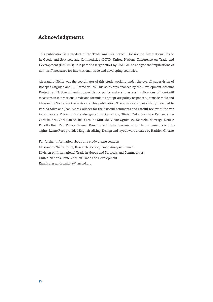# **Acknowledgments**

This publication is a product of the Trade Analysis Branch, Division on International Trade in Goods and Services, and Commodities (DITC), United Nations Conference on Trade and Development (UNCTAD). It is part of a larger effort by UNCTAD to analyse the implications of non-tariff measures for international trade and developing countries.

Alessandro Nicita was the coordinator of this study working under the overall supervision of Bonapas Onguglo and Guillermo Valles. This study was financed by the Development Account Project 1415N: Strengthening capacities of policy makers to assess implications of non-tariff measures in international trade and formulate appropriate policy responses. Jaime de Melo and Alessandro Nicita are the editors of this publication. The editors are particularly indebted to Peri da Silva and Jean-Marc Solleder for their useful comments and careful review of the various chapters. The editors are also grateful to Carol Box, Olivier Cadot, Santiago Fernandez de Cordoba Briz, Christian Knebel, Caroline Muriuki, Victor Ognivtsev, Marcelo Olarreaga, Denise Penello Rial, Ralf Peters, Samuel Rosenow and Julia Seiermann for their comments and insights. Lynne Rees provided English editing. Design and layout were created by Hadrien Gliozzo.

For further information about this study please contact: Alessandro Nicita. Chief, Research Section, Trade Analysis Branch. Division on International Trade in Goods and Services, and Commodities United Nations Conference on Trade and Development Email: alessandro.nicita@unctad.org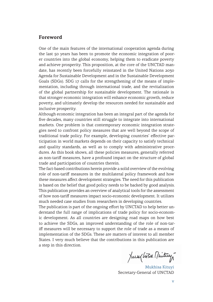# **Foreword**

One of the main features of the international cooperation agenda during the last 50 years has been to promote the economic integration of poorer countries into the global economy, helping them to eradicate poverty and achieve prosperity. This proposition, at the core of the UNCTAD mandate, has recently been forcefully reinstated in the United Nations 2030 Agenda for Sustainable Development and in the Sustainable Development Goals (SDGs). SDG 17 calls for the strengthening of the means of implementation, including through international trade, and the revitalization of the global partnership for sustainable development. The rationale is that stronger economic integration will enhance economic growth, reduce poverty, and ultimately develop the resources needed for sustainable and inclusive prosperity.

Although economic integration has been an integral part of the agenda for five decades, many countries still struggle to integrate into international markets. One problem is that contemporary economic integration strategies need to confront policy measures that are well beyond the scope of traditional trade policy. For example, developing countries' effective participation in world markets depends on their capacity to satisfy technical and quality standards, as well as to comply with administrative procedures. As this book shows, all these policies measures, generally referred as non-tariff measures, have a profound impact on the structure of global trade and participation of countries therein.

The fact-based contributions herein provide a solid overview of the evolving role of non-tariff measures in the multilateral policy framework and how these measures affect development strategies. The need for this publication is based on the belief that good policy needs to be backed by good analysis. This publication provides an overview of analytical tools for the assessment of how non-tariff measures impact socio-economic development. It utilizes much needed case studies from researchers in developing countries.

The publication is part of the ongoing effort by UNCTAD to help better understand the full range of implications of trade policy for socio-economic development. As all countries are designing road maps on how best to achieve the SDGs, an improved understanding of the role of non-tariff measures will be necessary to support the role of trade as a means of implementation of the SDGs. These are matters of interest to all member States. I very much believe that the contributions in this publication are a step in this direction.

Jungles Mituy

Mukhisa Kituyi Secretary-General of UNCTAD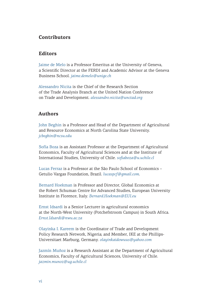# **Contributors**

# **Editors**

Jaime de Melo is a Professor Emeritus at the University of Geneva, a Scientific Director at the FERDI and Academic Advisor at the Geneva Business School. *jaime.demelo@unige.ch*

Alessandro Nicita is the Chief of the Research Section of the Trade Analysis Branch at the United Nation Conference on Trade and Development. *alessandro.nicita@unctad.org*

# **Authors**

John Beghin is a Professor and Head of the Department of Agricultural and Resource Economics at North Carolina State University. *jcbeghin@ncsu.edu*

Sofía Boza is an Assistant Professor at the Department of Agricultural Economics, Faculty of Agricultural Sciences and at the Institute of International Studies, University of Chile. *sofiaboza@u.uchile.cl*

Lucas Ferraz is a Professor at the São Paulo School of Economics – Getulio Vargas Foundation, Brazil. *lucaspcf@gmail.com*.

Bernard Hoekman is Professor and Director, Global Economics at the Robert Schuman Centre for Advanced Studies, European University Institute in Florence, Italy. *Bernard.Hoekman@EUI.eu*

Ernst Idsardi is a Senior Lecturer in agricultural economics at the North-West University (Potchefstroom Campus) in South Africa. *Ernst.Idsardi@nwu.ac.za*

Olayinka I. Kareem is the Coordinator of Trade and Development Policy Research Network, Nigeria; and Member, IKE at the Phillips-Universitaet Marburg, Germany. *olayinkaidowuus@yahoo.com*

Jazmín Muñoz is a Research Assistant at the Department of Agricultural Economics, Faculty of Agricultural Sciences, University of Chile. *jazmin.munoz@ug.uchile.cl*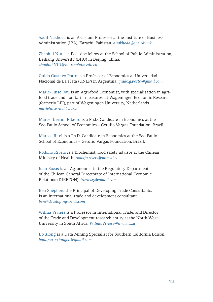Aadil Nakhoda is an Assistant Professor at the Institute of Business Administration (IBA), Karachi, Pakistan. *anakhoda@iba.edu.pk*

Zhaohui Niu is a Post-doc fellow at the School of Public Administration, Beihang University (BHU) in Beijing, China. *zhaohui.NIU@nottingham.edu.cn*

Guido Gustavo Porto is a Professor of Economics at Universidad Nacional de La Plata (UNLP) in Argentina. *guido.g.porto@gmail.com*

Marie-Luise Rau is an Agri-food Economist, with specialisation in agrifood trade and non-tariff measures, at Wageningen Economic Research (formerly LEI), part of Wageningen University, Netherlands. *marieluise.rau@wur.nl*

Marcel Bertini Ribeiro is a Ph.D. Candidate in Economics at the Sao Paulo School of Economics – Getulio Vargas Foundation, Brazil.

Marcos Ritel is a Ph.D. Candidate in Economics at the Sao Paulo School of Economics – Getulio Vargas Foundation, Brazil.

Rodolfo Rivers is a Biochemist, food safety advisor at the Chilean Ministry of Health. *rodolfo.rivers@minsal.cl*

Juan Rozas is an Agronomist in the Regulatory Department of the Chilean General Directorate of International Economic Relations (DIRECON). *jrozas25@gmail.com*

Ben Shepherd the Principal of Developing Trade Consultants, is an international trade and development consultant. *ben@developing-trade.com*

Wilma Viviers is a Professor in International Trade, and Director of the Trade and Development research entity at the North-West University in South Africa. *Wilma.Viviers@nwu.ac.za*

Bo Xiong is a Data Mining Specialist for Southern California Edison. *bonapartexiongbo@gmail.com*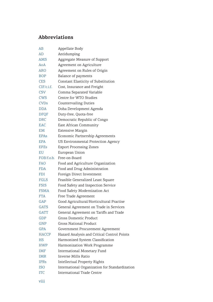# **Abbreviations**

| AB                     | Appellate Body                                 |
|------------------------|------------------------------------------------|
| AD                     | Antidumping                                    |
| AMS                    | Aggregate Measure of Support                   |
| AoA                    | Agreement on Agriculture                       |
| ARO                    | Agreement on Rules of Origin                   |
| BOP                    | Balance of payments                            |
| <b>CES</b>             | Constant Elasticity of Substitution            |
| CIF/c.i.f.             | Cost, Insurance and Freight                    |
| <b>CSV</b>             | Comma Separated Variable                       |
| <b>CWS</b>             | Centre for WTO Studies                         |
| <b>CVDs</b>            | <b>Countervailing Duties</b>                   |
| <b>DDA</b>             | Doha Development Agenda                        |
| <b>DFOF</b>            | Duty-free, Quota-free                          |
| <b>DRC</b>             | Democratic Republic of Congo                   |
| <b>EAC</b>             | East African Community                         |
| EM                     | <b>Extensive Margin</b>                        |
| <b>EPA<sub>s</sub></b> | Economic Partnership Agreements                |
| <b>EPA</b>             | US Environmental Protection Agency             |
| <b>EPZs</b>            | <b>Export Processing Zones</b>                 |
| <b>EU</b>              | European Union                                 |
| FOB/f.o.b.             | Free-on-Board                                  |
| <b>FAO</b>             | Food and Agriculture Organization              |
| <b>FDA</b>             | Food and Drug Administration                   |
| FDI                    | Foreign Direct Investment                      |
| <b>FGLS</b>            | Feasible Generalized Least Square              |
| <b>FSIS</b>            | Food Safety and Inspection Service             |
| <b>FSMA</b>            | Food Safety Modernization Act                  |
| <b>FTA</b>             | Free Trade Agreement                           |
| GAP                    | Good Agricultural/Horticultural Practise       |
| <b>GATS</b>            | General Agreement on Trade in Services         |
| <b>GATT</b>            | General Agreement on Tariffs and Trade         |
| <b>GDP</b>             | Gross Domestic Product                         |
| <b>GNP</b>             | Gross National Product                         |
| <b>GPA</b>             | Government Procurement Agreement               |
| <b>HACCP</b>           | Hazard Analysis and Critical Control Points    |
| HS                     | Harmonized System Classification               |
| <b>HWP</b>             | Harmonization Work Programme                   |
| <b>IMF</b>             | <b>International Monetary Fund</b>             |
| <b>IMR</b>             | Inverse Mills Ratio                            |
| <b>IPRs</b>            | Intellectual Property Rights                   |
| <b>ISO</b>             | International Organization for Standardization |
| <b>ITC</b>             | <b>International Trade Centre</b>              |
|                        |                                                |

viii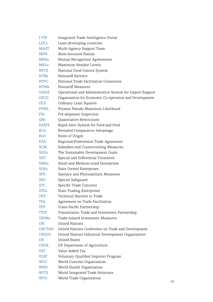| I-TIP        | Integrated Trade Intelligence Portal                     |
|--------------|----------------------------------------------------------|
| <b>LDCs</b>  | Least developing countries                               |
| MAST         | Multi-Agency Support Team                                |
| <b>MFN</b>   | Most-favoured Nation                                     |
| <b>MRAs</b>  | Mutual Recognition Agreements                            |
| <b>MRLs</b>  | Maximum Residue Levels                                   |
| <b>NFCS</b>  | National Food Control System                             |
| <b>NTBs</b>  | Nontariff Barriers                                       |
| <b>NTFC</b>  | National Trade Facilitation Committee                    |
| <b>NTMs</b>  | Nontariff Measures                                       |
| OASIS        | Operational and Administrative System for Import Support |
| <b>OECD</b>  | Organisation for Economic Co-operation and Development   |
| <b>OLS</b>   | Ordinary Least Squares                                   |
| <b>PPML</b>  | Poisson Pseudo Maximum Likelihood                        |
| PSI          | Pre-shipment Inspection                                  |
| QRs          | Quantitative Restrictions                                |
| <b>RASFF</b> | Rapid Alert System for Food and Feed                     |
| <b>RCA</b>   | Revealed Comparative Advantage                           |
| RoO.         | Rules of Origin                                          |
| <b>RTA</b>   | Regional/Preferential Trade Agreement                    |
| SCM          | Subsidies and Countervailing Measures                    |
| <b>SDGs</b>  | The Sustainable Development Goals                        |
| SDT          | Special and Differential Treatment                       |
| <b>SMEs</b>  | Small and Medium-sized Enterprises                       |
| <b>SOEs</b>  | State Owned Enterprises                                  |
| <b>SPS</b>   | Sanitary and Phytosanitary Measures                      |
| SSG          | Special Safeguard                                        |
| <b>STC</b>   | Specific Trade Concerns                                  |
| <b>STEs</b>  | <b>State-Trading Enterprises</b>                         |
| TBT          | Technical Barriers to Trade                              |
| <b>TFA</b>   | Agreement on Trade Facilitation                          |
| <b>TPP</b>   | Trans-Pacific Partnership                                |
| TTIP         | Transatlantic Trade and Investment Partnership           |
| <b>TRIMs</b> | Trade-related Investment Measures                        |
| UN           | United Nations                                           |
| UNCTAD       | United Nations Conference on Trade and Development       |
| <b>UNIDO</b> | United Nations Industrial Development Organization       |
| US           | <b>United States</b>                                     |
| USDA         | US Department of Agriculture                             |
| VAT          | Value Added Tax                                          |
| VQIP         | Voluntary Qualified Importer Program                     |
| <b>WCO</b>   | World Customs Organization                               |
| WHO          | World Health Organization                                |
| WITS         | World Integrated Trade Solutions                         |
| WTO          | World Trade Organization                                 |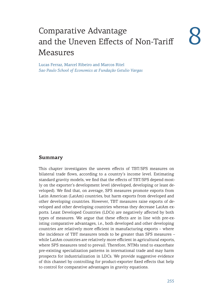# Comparative Advantage and the Uneven Effects of Non-Tariff Measures 8

Lucas Ferraz, Marcel Ribeiro and Marcos Ritel *Sao Paulo School of Economics at Fundação Getulio Vargas*

### **Summary**

This chapter investigates the uneven effects of TBT/SPS measures on bilateral trade flows, according to a country's income level. Estimating standard gravity models, we find that the effects of TBT/SPS depend mostly on the exporter's development level (developed, developing or least developed). We find that, on average, SPS measures promote exports from Latin American (LatAm) countries, but harm exports from developed and other developing countries. However, TBT measures raise exports of developed and other developing countries whereas they decrease LatAm exports. Least Developed Countries (LDCs) are negatively affected by both types of measures. We argue that these effects are in line with pre-existing comparative advantages, i.e., both developed and other developing countries are relatively more efficient in manufacturing exports – where the incidence of TBT measures tends to be greater than SPS measures – while LatAm countries are relatively more efficient in agricultural exports, where SPS measures tend to prevail. Therefore, NTMs tend to exacerbate pre-existing specialization patterns in international trade and may harm prospects for industrialization in LDCs. We provide suggestive evidence of this channel by controlling for product-exporter fixed effects that help to control for comparative advantages in gravity equations.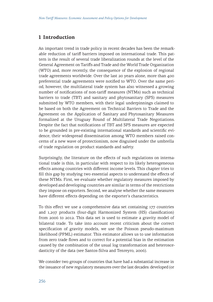# **1 Introduction**

An important trend in trade policy in recent decades has been the remarkable reduction of tariff barriers imposed on international trade. This pattern is the result of several trade liberalization rounds at the level of the General Agreement on Tariffs and Trade and the World Trade Organization (WTO) and, more recently, the consequence of the explosion of regional trade agreements worldwide. Over the last 20 years alone, more than 400 preferential trade agreements were notified to WTO. Over the same period, however, the multilateral trade system has also witnessed a growing number of notifications of non-tariff measures (NTMs) such as technical barriers to trade (TBT) and sanitary and phytosanitary (SPS) measures submitted by WTO members, with their legal underpinnings claimed to be based on both the Agreement on Technical Barriers to Trade and the Agreement on the Application of Sanitary and Phytosanitary Measures formalized at the Uruguay Round of Multilateral Trade Negotiations. Despite the fact that notifications of TBT and SPS measures are expected to be grounded in pre-existing international standards and scientific evidence, their widespread dissemination among WTO members raised concerns of a new wave of protectionism, now disguised under the umbrella of trade regulation on product standards and safety.

Surprisingly, the literature on the effects of such regulations on international trade is thin, in particular with respect to its likely heterogeneous effects among countries with different income levels. This chapter tries to fill this gap by studying two essential aspects to understand the effects of these NTMs. First, we evaluate whether regulatory measures imposed by developed and developing countries are similar in terms of the restrictions they impose on exporters. Second, we analyse whether the same measures have different effects depending on the exporter's characteristics.

To this effect we use a comprehensive data set containing 177 countries and 1,297 products (four-digit Harmonized System (HS) classification) from 2006 to 2012. This data set is used to estimate a gravity model of bilateral trade. To take into account recent criticism about the correct specification of gravity models, we use the Poisson pseudo-maximum likelihood (PPML) estimator. This estimator allows us to use information from zero trade flows and to correct for a potential bias in the estimation caused by the combination of the usual log transformation and heteroscedasticity of the data (see Santos-Silva and Tenreyro, 2006).

We consider two groups of countries that have had a substantial increase in the issuance of new regulatory measures over the last decades: developed (or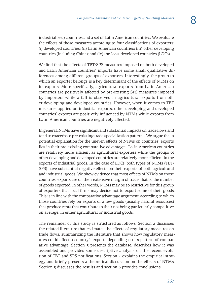industrialized) countries and a set of Latin American countries. We evaluate the effects of those measures according to four classifications of exporters: (i) developed countries; (ii) Latin American countries; (iii) other developing countries (including China); and (iv) the least developed countries (LDCs).

We find that the effects of TBT/SPS measures imposed on both developed and Latin American countries' imports have some small qualitative differences among different groups of exporters. Interestingly, the group to which an exporter belongs is a key determinant of the effects of NTMs on its exports. More specifically, agricultural exports from Latin American countries are positively affected by pre-existing SPS measures imposed by importers while a fall is observed in agricultural exports from other developing and developed countries. However, when it comes to TBT measures applied on industrial exports, other developing and developed countries' exports are positively influenced by NTMs while exports from Latin American countries are negatively affected.

In general, NTMs have significant and substantial impacts on trade flows and tend to exacerbate pre-existing trade specialization patterns. We argue that a potential explanation for the uneven effects of NTMs on countries' exports lies in their pre-existing comparative advantages. Latin American countries are relatively more efficient as agricultural exporters while the groups of other developing and developed countries are relatively more efficient in the exports of industrial goods. In the case of LDCs, both types of NTMs (TBT/ SPS) have substantial negative effects on their exports of both agricultural and industrial goods. We show evidence that most effects of NTMs on those countries' exports are on their extensive margin of trade, that is, the number of goods exported. In other words, NTMs may be so restrictive for this group of exporters that local firms may decide not to export some of their goods. This is in line with the comparative advantage argument, according to which those countries rely on exports of a few goods (usually natural resources) that produce rents that contribute to their not being particularly competitive, on average, in either agricultural or industrial goods.

The remainder of this study is structured as follows. Section 2 discusses the related literature that estimates the effects of regulatory measures on trade flows, summarizing the literature that shows how regulatory measures could affect a country's exports depending on its pattern of comparative advantage. Section 3 presents the database, describes how it was assembled and provides some descriptive analysis on the recent evolution of TBT and SPS notifications. Section 4 explains the empirical strategy and briefly presents a theoretical discussion on the effects of NTMs. Section 5 discusses the results and section 6 provides conclusions.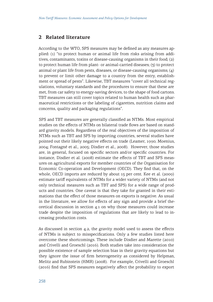# **2 Related literature**

According to the WTO, SPS measures may be defined as any measures applied: (1) "to protect human or animal life from risks arising from additives, contaminants, toxins or disease-causing organisms in their food; (2) to protect human life from plant- or animal-carried diseases; (3) to protect animal or plant life from pests, diseases, or disease-causing organisms; (4) to prevent or limit other damage to a country from the entry, establishment or spread of pests". Likewise, TBT measures "cover all technical regulations, voluntary standards and the procedures to ensure that these are met, from car safety to energy-saving devices, to the shape of food cartons. TBT measures can still cover topics related to human health such as pharmaceutical restrictions or the labeling of cigarettes, nutrition claims and concerns, quality and packaging regulations".

SPS and TBT measures are generally classified as NTMs. Most empirical studies on the effects of NTMs on bilateral trade flows are based on standard gravity models. Regardless of the real objectives of the imposition of NTMs such as TBT and SPS by importing countries, several studies have pointed out their likely negative effects on trade (Leamer, 1990; Moenius, 2004; Fontagné et al., 2005; Disdier et al., 2008). However, those studies are, in general, focused on specific sectors and/or specific countries. For instance, Disdier et al. (2008) estimate the effects of TBT and SPS measures on agricultural exports for member countries of the Organisation for Economic Co-operation and Development (OECD). They find that, on the whole, OECD imports are reduced by about 15 per cent. Kee et al. (2009) estimate tariff equivalents of NTMs for a wider variety of NTMs (and not only technical measures such as TBT and SPS) for a wide range of products and countries. One caveat is that they take for granted in their estimations that the effect of those measures on exports is negative. As usual in the literature, we allow for effects of any sign and provide a brief theoretical discussion in section 4.1 on why those measures could increase trade despite the imposition of regulations that are likely to lead to increasing production costs.

As discussed in section 4.2, the gravity model used to assess the effects of NTMs is subject to misspecifications. Only a few studies listed here overcome these shortcomings. These include Disdier and Marette (2010) and Crivelli and Groeschl (2016). Both studies take into consideration the possible existence of sample selection bias in their gravity equations but they ignore the issue of firm heterogeneity as considered by Helpman, Melitz and Rubinstein (HMR) (2008). For example, Crivelli and Groeschl (2016) find that SPS measures negatively affect the probability to export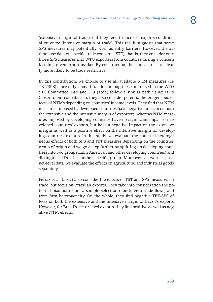(extensive margin of trade), but they tend to increase exports conditional on entry (intensive margin of trade). This result suggests that some SPS measures may potentially work as entry barriers. However, the authors use data on specific trade concerns (STC), that is, they consider only those SPS measures that WTO exporters from countries raising a concern face in a given export market. By construction, those measures are clearly more likely to be trade restrictive.

In this contribution, we choose to use all available NTM measures (i.e. TBT/SPS) since only a small fraction among these are raised in the WTO STC Committee. Bao and Qiu (2012) follow a similar path using TBTs. Closer to our contribution, they also consider potential heterogeneous effects of NTMs depending on countries' income levels. They find that NTM measures imposed by developed countries have negative impacts on both the extensive and the intensive margin of exporters, whereas NTM measures imposed by developing countries have no significant impact on developed countries' exports, but have a negative impact on the extensive margin as well as a positive effect on the intensive margin for developing countries' exports. In this study, we evaluate the potential heterogeneous effects of both SPS and TBT measures depending on the countries' group of origin and we go a step further by splitting up developing countries into two groups Latin American and other developing countries) and distinguish LDCs in another specific group. Moreover, as we use product-level data, we evaluate the effects on agricultural and industrial goods separately.

Ferraz et al. (2017) also consider the effects of TBT and SPS measures on trade, but focus on Brazilian exports. They take into consideration the potential bias both from a sample selection (due to zero trade flows) and from firm heterogeneity. On the whole, they find negative TBT/SPS effects on both the extensive and the intensive margin of Brazil's exports. However, for Brazil's sector-level exports, they find positive as well as negative NTM effects.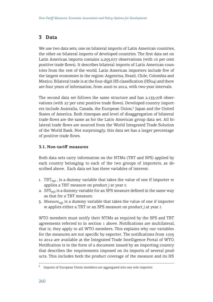# **3 Data**

We use two data sets, one on bilateral imports of Latin American countries, the other on bilateral imports of developed countries. The first data set on Latin American imports contains 2,253,677 observations (with 16 per cent positive trade flows). It describes bilateral imports of Latin American countries from the rest of the world. Latin American importers include five of the largest economies in the region: Argentina, Brazil, Chile, Colombia and Mexico. Bilateral trade is at the four-digit HS classification (HS04) and there are four years of information, from 2006 to 2012, with two-year intervals.

The second data set follows the same structure and has 2,133,978 observations (with 27 per cent positive trade flows). Developed country importers include Australia, Canada, the European Union,**<sup>1</sup>** Japan and the United States of America. Both timespan and level of disaggregation of bilateral trade flows are the same as for the Latin American group data set. All bilateral trade flows are sourced from the World Integrated Trade Solution of the World Bank. Not surprisingly, this data set has a larger percentage of positive trade flows.

## **3.1. Non-tariff measures**

Both data sets carry information on the NTMs (TBT and SPS) applied by each country belonging to each of the two groups of importers, as described above. Each data set has three variables of interest:

- 1. *TBTmjt* , is a dummy variable that takes the value of one if importer *m* applies a TBT measure on product *j* at year *t*;
- 2. *SPSmjt* is a dummy variable for an SPS measure defined in the same way as that for a TBT measure;
- 3. *Measuremjt* is a dummy variable that takes the value of one if importer *m* applies either a TBT or an SPS measure on product *j* at year *t*.

WTO members must notify their NTMs as required by the SPS and TBT agreements referred to in section 1 above. Notifications are multilateral, that is, they apply to all WTO members. This explains why our variables for the measures are not specific by exporter. The notifications from 1995 to 2012 are available at the Integrated Trade Intelligence Portal of WTO. Notification is in the form of a document issued by an importing country that describes the requirements imposed on its imports of several products. This includes both the product coverage of the measure and its HS

**<sup>1</sup>** Imports of European Union members are aggregated into one sole importer.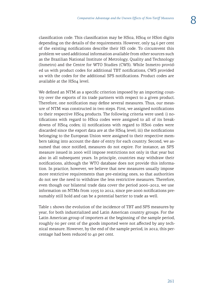classification code. This classification may be HS02, HS04 or HS06 digits depending on the details of the requirements. However, only 34.6 per cent of the existing notifications describe their HS code. To circumvent this problem we used additional information available from other sources such as the Brazilian National Institute of Metrology, Quality and Technology (Inmetro) and the Centre for WTO Studies (CWS). While Inmetro provided us with product codes for additional TBT notifications, CWS provided us with the codes for the additional SPS notifications. Product codes are available at the HS04 level.

We defined an NTM as a specific criterion imposed by an importing country over the exports of its trade partners with respect to a given product. Therefore, one notification may define several measures. Thus, our measure of NTM was constructed in two steps. First, we assigned notifications to their respective HS04 products. The following criteria were used: i) notifications with regard to HS02 codes were assigned to all of its breakdowns of HS04 codes; ii) notifications with regard to HS06 codes were discarded since the export data are at the HS04 level; iii) the notifications belonging to the European Union were assigned to their respective members taking into account the date of entry for each country. Second, we assumed that once notified, measures do not expire. For instance, an SPS measure issued in 2006 will impose restrictions not only in that year but also in all subsequent years. In principle, countries may withdraw their notifications, although the WTO database does not provide this information. In practice, however, we believe that new measures usually impose more restrictive requirements than pre-existing ones, so that authorities do not see the need to withdraw the less restrictive measures. Therefore, even though our bilateral trade data cover the period 2006–2012, we use information on NTMs from 1995 to 2012, since pre-2006 notifications presumably still hold and can be a potential barrier to trade as well.

Table 1 shows the evolution of the incidence of TBT and SPS measures by year, for both industrialized and Latin American country groups. For the Latin American group of importers at the beginning of the sample period, roughly 60 per cent of the goods imported were not affected by any technical measure. However, by the end of the sample period, in 2012, this percentage had been reduced to 40 per cent.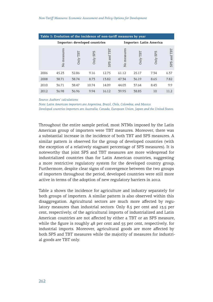|      | Table 1: Evolution of the incidence of non-tariff measures by year |                               |                        |                         |             |          |          |                |  |  |  |  |
|------|--------------------------------------------------------------------|-------------------------------|------------------------|-------------------------|-------------|----------|----------|----------------|--|--|--|--|
|      |                                                                    | Importer: developed countries |                        | Importer: Latin America |             |          |          |                |  |  |  |  |
|      | No measures                                                        | TBT vinC                      | <b>SPS</b><br>$Only$ : | TBT<br>and<br>SPS       | No measures | Only TBT | Only SPS | and TBT<br>SPS |  |  |  |  |
| 2006 | 45.23                                                              | 32.86                         | 9.16                   | 12.75                   | 61.12       | 25.17    | 7.34     | 6.37           |  |  |  |  |
| 2008 | 38.71                                                              | 38.74                         | 8.73                   | 13.82                   | 47.34       | 36.19    | 8.65     | 7.82           |  |  |  |  |
| 2010 | 36.71                                                              | 38.47                         | 10.74                  | 14.09                   | 44.03       | 37.64    | 8.43     | 9.9            |  |  |  |  |
| 2012 | 36.98                                                              | 36.96                         | 9.94                   | 16.12                   | 39.95       | 38.85    | 10       | 11.2           |  |  |  |  |

#### *Source: Authors' calculations*

*Note: Latin American importers are Argentina, Brazil, Chile, Colombia, and Mexico. Developed countries importers are Australia, Canada, European Union, Japan and the United States.* 

Throughout the entire sample period, most NTMs imposed by the Latin American group of importers were TBT measures. Moreover, there was a substantial increase in the incidence of both TBT and SPS measures. A similar pattern is observed for the group of developed countries (with the exception of a relatively stagnant percentage of SPS measures). It is noteworthy that joint SPS and TBT measures are more widespread for industrialized countries than for Latin American countries, suggesting a more restrictive regulatory system for the developed country group. Furthermore, despite clear signs of convergence between the two groups of importers throughout the period, developed countries were still more active in terms of the adoption of new regulatory barriers in 2012.

Table 2 shows the incidence for agriculture and industry separately for both groups of importers. A similar pattern is also observed within this disaggregation. Agricultural sectors are much more affected by regulatory measures than industrial sectors: Only 8.5 per cent and 13.5 per cent, respectively, of the agricultural imports of industrialized and Latin American countries are not affected by either a TBT or an SPS measure, while the figure is roughly 48 per cent and 55 per cent, respectively, for industrial imports. Moreover, agricultural goods are more affected by both SPS and TBT measures while the majority of measures for industrial goods are TBT only.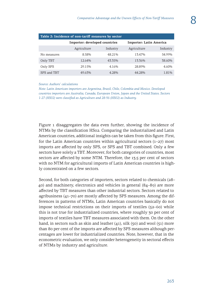| Table 2: Incidence of non-tariff measures by sector |                               |          |                         |          |  |  |  |  |  |  |
|-----------------------------------------------------|-------------------------------|----------|-------------------------|----------|--|--|--|--|--|--|
|                                                     | Importer: developed countries |          | Importer: Latin America |          |  |  |  |  |  |  |
|                                                     | Agriculture                   | Industry | Agriculture             | Industry |  |  |  |  |  |  |
| No measures                                         | 8.58%                         | 48.21%   | 13.47%                  | 54.99%   |  |  |  |  |  |  |
| Only TBT                                            | 12.64%                        | 43.35%   | 13.36%                  | 38.60%   |  |  |  |  |  |  |
| Only SPS                                            | 29.15%                        | 4.16%    | 28.89%                  | 4.60%    |  |  |  |  |  |  |
| SPS and TBT                                         | 49.63%                        | 4.28%    | 44.28%                  | 1.81%    |  |  |  |  |  |  |

#### *Source: Authors' calculations*

*Note: Latin American importers are Argentina, Brazil, Chile, Colombia and Mexico. Developed countries importers are Australia, Canada, European Union, Japan and the United States. Sectors 1-27 (HS02) were classified as Agriculture and 28-96 (HS02) as Industry.*

Figure 1 disaggregates the data even further, showing the incidence of NTMs by the classification HS02. Comparing the industrialized and Latin American countries, additional insights can be taken from this figure. First, for the Latin American countries within agricultural sectors (1–27) most imports are affected by only SPS, or SPS and TBT combined. Only a few sectors have solely a TBT. Moreover, for both categories of countries, most sectors are affected by some NTM. Therefore, the 13.5 per cent of sectors with no NTM for agricultural imports of Latin American countries is highly concentrated on a few sectors.

Second, for both categories of importers, sectors related to chemicals (28– 40) and machinery, electronics and vehicles in general (84–89) are more affected by TBT measures than other industrial sectors. Sectors related to agribusiness (41–70) are mostly affected by SPS measures. Among the differences in patterns of NTMs, Latin American countries basically do not impose technical restrictions on their imports of textiles (52–60) while this is not true for industrialized countries, where roughly 30 per cent of imports of textiles have TBT measures associated with them. On the other hand, in sectors such as skin and leather  $(41)$ , silk  $(50)$  and wool  $(51)$  more than 80 per cent of the imports are affected by SPS measures although percentages are lower for industrialized countries. Note, however, that in the econometric evaluation, we only consider heterogeneity in sectoral effects of NTMs by industry and agriculture.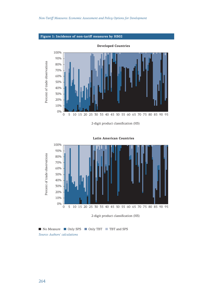

2-digit product classification (HS)



**Latin American Countries**

No Measure Conly SPS Conly TBT TBT and SPS *Source: Authors' calculations*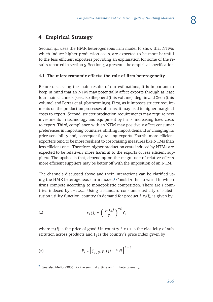# **4 Empirical Strategy**

Section 4.1 uses the HMR heterogeneous firm model to show that NTMs which induce higher production costs, are expected to be more harmful to the less efficient exporters providing an explanation for some of the results reported in section 5. Section 4.2 presents the empirical specification.

## **4.1 The microeconomic effects: the role of firm heterogeneity**

Before discussing the main results of our estimations, it is important to keep in mind that an NTM may potentially affect exports through at least four main channels (see also Shepherd (this volume), Beghin and Xeon (this volume) and Ferraz et al. (forthcoming)). First, as it imposes stricter requirements on the production processes of firms, it may lead to higher marginal costs to export. Second, stricter production requirements may require new investments in technology and equipment by firms, increasing fixed costs to export. Third, compliance with an NTM may positively affect consumer preferences in importing countries, shifting import demand or changing its price sensibility and, consequently, raising exports. Fourth, more efficient exporters tend to be more resilient to cost-raising measures like NTMs than less efficient ones. Therefore, higher production costs induced by NTMs are expected to be relatively more harmful to the exports of less efficient suppliers. The upshot is that, depending on the magnitude of relative effects, more efficient suppliers may be better off with the imposition of an NTM.

The channels discussed above and their interactions can be clarified using the HMR heterogeneous firm model.**<sup>2</sup>** Consider then a world in which firms compete according to monopolistic competition. There are *i* countries indexed by  $i = 1, 2, ...$  Using a standard constant elasticity of substitution utility function, country *i*'s demand for product *j*,  $x_i(i)$ , is given by

$$
x_i(j) = \left(\frac{p_i(j)}{P_i}\right)^{-\varepsilon} Y_i
$$

where  $p_i(j)$  is the price of good *j* in country *i*,  $\varepsilon > 1$  is the elasticity of substitution across products and  $P_i$  is the country's price index given by

$$
P_i = \left[ \int_{j \in B_i} p_i(j)^{1-\varepsilon} \, dj \right]^{1-\varepsilon}
$$

**<sup>2</sup>** See also Melitz (2003) for the seminal article on firm heterogeneity.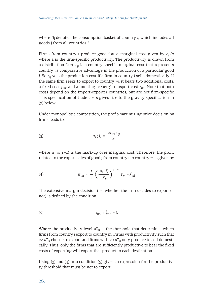where *Bi* denotes the consumption basket of country *i*, which includes all goods *j* from all countries *i*.

Firms from country *i* produce good *j* at a marginal cost given by  $c_{ij}/a$ , where a is the firm-specific productivity. The productivity is drawn from a distribution  $G(a)$ .  $c_{ii}$  is a country-specific marginal cost that represents country *i*'s comparative advantage in the production of a particular good *j*. So *cij* /*a* is the production cost if a firm in country *i* sells domestically. If the same firm seeks to export to country *m*, it bears two additional costs: a fixed cost *fmi*, and a 'melting iceberg' transport cost *τim*. Note that both costs depend on the import-exporter countries, but are not firm-specific. This specification of trade costs gives rise to the gravity specification in (7) below.

Under monopolistic competition, the profit-maximizing price decision by firms leads to:

$$
p_i(j) = \frac{\mu \tau_{im} c_{ij}}{a}
$$

where  $\mu = \varepsilon/(\varepsilon - 1)$  is the mark-up over marginal cost. Therefore, the profit related to the export sales of good *j* from country *i* to country *m* is given by

$$
(4) \t\t \pi_{im} = \frac{1}{\varepsilon} \left( \frac{p_i(j)}{P_m} \right)^{1-\varepsilon} Y_m - f_{mi}
$$

The extensive margin decision (i.e. whether the firm decides to export or not) is defined by the condition

$$
\pi_{im} (a_{im}^*) = 0
$$

Where the productivity level  $a_{im}^*$  is the threshold that determines which firms from country *i* export to country m. Firms with productivity such that  $a \ge a_{im}^*$  choose to export and firms with  $a < a_{im}^*$  only produce to sell domestically. Thus, only the firms that are sufficiently productive to bear the fixed costs of exporting will export that product to each destination.

Using  $(3)$  and  $(4)$  into condition  $(5)$  gives an expression for the productivity threshold that must be net to export: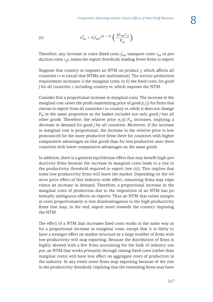(6) 
$$
a_{im}^{*} = (\varepsilon f_{mi})^{(\varepsilon - 1)} \left( \frac{\mu i_{im} c_{ij}}{P_m} \right)
$$

Therefore, any increase in costs (fixed costs *fmi*, transport costs *τim* or production costs *cij*), raises the export threshold, leading fewer firms to export.

Suppose that country m imposes an NTM on product *j*, which affects all countries  $i \neq m$  (recall that NTMs are multilateral). The stricter production requirement increases: i) the marginal costs; or ii) the fixed costs, for good *j* for all countries *i*, including country *m*, which imposes the NTM.

Consider first a proportional increase in marginal costs. The increase in the marginal cost raises the profit-maximizing price of good  $p_i(i)$  for firms that choose to export from all countries *i* to country *m*, while it does not change *Pm* in the same proportion as the basket includes not only good *j* but all other goods. Therefore, the relative price  $p_i(j)/P_m$  increases, implying a decrease in demand for good *j* by all countries. Moreover, if the increase in marginal cost is proportional, the increase in the relative price is less pronounced for the more productive firms (here for countries with higher comparative advantages on that good) than for less productive ones (here countries with lower comparative advantages on the same good).

In addition, there is a general equilibrium effect that may benefit high-productivity firms because the increase in marginal costs leads to a rise in the productivity threshold required to export (see (6)). This implies that some low-productivity firms will leave the market. Depending on the relative price effect of this industry-wide effect, remaining firms may experience an increase in demand. Therefore, a proportional increase in the marginal costs of production due to the imposition of an NTM has potentially ambiguous effects on exports. Thus an NTM that raises marginal costs proportionately is less disadvantageous to the high-productivity firms that may, in the end, export more towards the country imposing the NTM.

The effect of a NTM that increases fixed costs works in the same way as for a proportional increase in marginal costs, except that it is likely to have a stronger effect on market structure as a large number of firms with low-productivity will stop exporting. Because the distribution of firms is highly skewed with a few firms accounting for the bulk of industry output, an NTM that works primarily through raising fixed costs (rather than marginal costs) will have less effect on aggregate costs of production in the industry. In any event some firms stop exporting because of the rise in the productivity threshold, implying that the remaining firms may have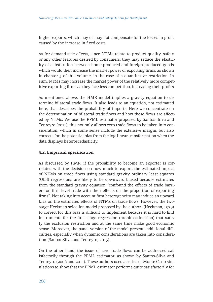higher exports, which may or may not compensate for the losses in profit caused by the increase in fixed costs.

As for demand-side effects, since NTMs relate to product quality, safety or any other features desired by consumers, they may reduce the elasticity of substitution between home-produced and foreign-produced goods, which would then increase the market power of exporting firms, as shown in chapter 5 of this volume, in the case of a quantitative restriction. In sum, NTMs may increase the market power of the relatively more competitive exporting firms as they face less competition, increasing their profits.

As mentioned above, the HMR model implies a gravity equation to determine bilateral trade flows. It also leads to an equation, not estimated here, that describes the probability of imports. Here we concentrate on the determination of bilateral trade flows and how these flows are affected by NTMs. We use the PPML estimator proposed by Santos-Silva and Tenreyro (2011); this not only allows zero trade flows to be taken into consideration, which in some sense include the extensive margin, but also corrects for the potential bias from the log-linear transformation when the data displays heteroscedasticity.

### **4.2. Empirical specification**

As discussed by HMR, if the probability to become an exporter is correlated with the decision on how much to export, the estimated impact of NTMs on trade flows using standard gravity ordinary least squares (OLS) regressions are likely to be downward biased because estimates from the standard gravity equation "confound the effects of trade barriers on firm-level trade with their effects on the proportion of exporting firms". Not taking into account firm heterogeneity may induce an upward bias on the estimated effects of NTMs on trade flows. However, the twostage Heckman selection model proposed by the authors (Heckman, 1979) to correct for this bias is difficult to implement because it is hard to find instruments for the first stage regression (probit estimation) that satisfy the exclusion restriction and at the same time make good economic sense. Moreover, the panel version of the model presents additional difficulties, especially when dynamic considerations are taken into consideration (Santos-Silva and Tenreyro, 2015).

On the other hand, the issue of zero trade flows can be addressed satisfactorily through the PPML estimator, as shown by Santos-Silva and Tenreyro (2006 and 2011). These authors used a series of Monte Carlo simulations to show that the PPML estimator performs quite satisfactorily for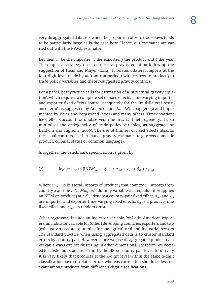very disaggregated data sets when the proportion of zero trade flows tends to be particularly large as is the case here. Hence, our estimates are carried out with the PPML estimator.

Let then  $m$  be the importer,  $x$  the exporter,  $j$  the product and  $t$  the year. The empirical strategy uses a structural gravity equation following the suggestion of Head and Mayer (2014). It relates bilateral imports at the four-digit level made by *m* from *x* at period *t* with respect to product *j* to trade policy variables and theory-suggested gravity controls.

For a panel, best practice calls for estimation of a 'structural gravity equation', which requires a complete set of fixed effects. Time-varying importer and exporter fixed effects control adequately for the "multilateral resistance term" as suggested by Anderson and Van Wincoop (2003) and implemented by Baier and Bergstrand (2007) and many others. Time-invariant fixed effects account for unobserved time-invariant heterogeneity. It also minimizes the endogeneity of trade policy variables, as suggested by Baldwin and Taglioni (2006). The use of this set of fixed effects absorbs the usual controls used in 'naïve' gravity estimates (e.g. gross domestic product, colonial status or common language).

Altogether, the benchmark specification is given by:

(7) 
$$
\log (m_{m \times jt}) = \beta N T M_{mjt} + \xi_{mx} + a_{mt} + \gamma_{xt} + \delta_{jt} + \varepsilon_{m \times jt}
$$

Where *mmxjt* is bilateral imports of product *j* that country *m* imports from country *x* at time *t*. *NTMmjt* is a dummy variable that equals 1 if *m* applies an NTM on product *j* at *t*. *ξmx* denote a country-pair fixed effect, <sup>α</sup>*mt* and *γxt* are importer and exporter time-varying fixed effects,  $\delta_{it}$  is a product-time fixed effect and  $\varepsilon_{m \times it}$  is random error.

Other regressors include an indicator variable for Latin American exporters, an indicator variable for (other) developing countries exporters and two (exhaustive) sectoral dummies for the agricultural and industrial sectors. The standard practice when using aggregated data is to cluster standard errors by country-pair. However, since we use disaggregated product data, we can always exploit clustering in other dimensions. Therefore, we decided to cluster our standard errors by the HS02-country-pair level. Intuitively, it is very likely that products at the 4-digit level within the same 2-digit classification have correlated errors whereas correlation should be less relevant among products from different 2-digit classifications.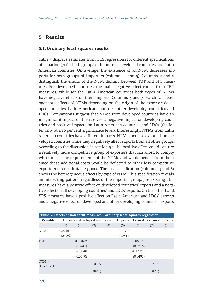# **5 Results**

#### **5.1. Ordinary least squares results**

Table 3 displays estimates from OLS regressions for different specifications of equation (7) for both groups of importers: developed countries and Latin American countries. On average, the existence of an NTM decreases imports for both groups of importers (columns 1 and 5). Columns 2 and 6 distinguish the effects of the NTM dummy between TBT and SPS measures. For developed countries, the main negative effect comes from TBT measures, while for the Latin American countries both types of NTMs have negative effects on their imports. Columns 3 and 7 search for heterogeneous effects of NTMs depending on the origin of the exporter: developed countries, Latin American countries, other developing countries and LDCs. Comparisons suggest that NTMs from developed countries have an insignificant impact on themselves, a negative impact on developing countries and positive impacts on Latin American countries and LDCs (the latter only at a 10 per cent significance level). Interestingly, NTMs from Latin American countries have different impacts. NTMs increase exports from developed countries while they negatively affect exports from all other groups. According to the discussion in section 5.1, the positive effect could capture a relatively more competitive group of exporters that can afford to comply with the specific requirements of the NTMs and would benefit from them, since these additional costs would be deflected to other less competitive exporters of substitutable goods. The last specification (columns 4 and 8) shows the heterogeneous effects by type of NTM. This specification reveals an interesting pattern: regardless of the importer group, pre-existing TBT measures have a positive effect on developed countries' exports and a negative effect on all developing countries' and LDCs' exports. On the other hand, SPS measures have a positive effect on Latin American and LDCs' exports and a negative effect on developed and other developing countries' exports.

| Table 3: Effects of non-tariff measures – ordinary least squares regression |              |             |                               |                                           |             |             |            |     |  |  |  |
|-----------------------------------------------------------------------------|--------------|-------------|-------------------------------|-------------------------------------------|-------------|-------------|------------|-----|--|--|--|
| Variable                                                                    |              |             | Importer: developed countries | <b>Importer: Latin American countries</b> |             |             |            |     |  |  |  |
|                                                                             | (1)          | (2)         | (3)                           | (4)                                       | (5)         | (6)         | (7)        | (8) |  |  |  |
| <b>NTM</b>                                                                  | $-0.0746***$ |             |                               |                                           | $-0.117***$ |             |            |     |  |  |  |
|                                                                             | (0.0259)     |             |                               |                                           | (0.0311)    |             |            |     |  |  |  |
| <b>TBT</b>                                                                  |              | $-0.0502**$ |                               |                                           |             | $-0.0687**$ |            |     |  |  |  |
|                                                                             |              | (0.0241)    |                               |                                           |             | (0.0316)    |            |     |  |  |  |
| <b>SPS</b>                                                                  |              | $-0.0548$   |                               |                                           |             | $-0.132***$ |            |     |  |  |  |
|                                                                             |              | (0.0390)    |                               |                                           |             | (0.0491)    |            |     |  |  |  |
| $NTM \times$<br>Developed                                                   |              |             | $-0.0569$                     |                                           |             |             | $0.190***$ |     |  |  |  |
|                                                                             |              |             | (0.0435)                      |                                           |             |             | (0.0431)   |     |  |  |  |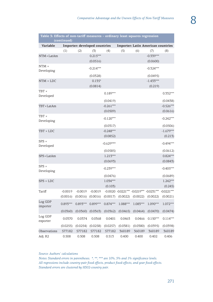| Table 3: Effects of non-tariff measures - ordinary least squares regression<br>(continued) |            |                               |             |             |          |                                                  |                                           |              |
|--------------------------------------------------------------------------------------------|------------|-------------------------------|-------------|-------------|----------|--------------------------------------------------|-------------------------------------------|--------------|
| Variable                                                                                   |            | Importer: developed countries |             |             |          |                                                  | <b>Importer: Latin American countries</b> |              |
|                                                                                            | (1)        | (2)                           | (3)         | (4)         | (5)      | (6)                                              | (7)                                       | (8)          |
| NTM × LatAm                                                                                |            |                               | $0.215***$  |             |          |                                                  | $-0.339***$                               |              |
|                                                                                            |            |                               | (0.0516)    |             |          |                                                  | (0.0600)                                  |              |
| $NTM \times$<br>Developing                                                                 |            |                               | $-0.214***$ |             |          |                                                  | $-0.324***$                               |              |
|                                                                                            |            |                               | (0.0328)    |             |          |                                                  | (0.0495)                                  |              |
| $NTM \times LDC$                                                                           |            |                               | $0.135*$    |             |          |                                                  | $-1.433***$                               |              |
|                                                                                            |            |                               | (0.0814)    |             |          |                                                  | (0.219)                                   |              |
| TBT ×<br>Developed                                                                         |            |                               |             | $0.189***$  |          |                                                  |                                           | $0.332***$   |
|                                                                                            |            |                               |             | (0.0419)    |          |                                                  |                                           | (0.0438)     |
| TBT × LatAm                                                                                |            |                               |             | $-0.261***$ |          |                                                  |                                           | $-0.526***$  |
|                                                                                            |            |                               |             | (0.0509)    |          |                                                  |                                           | (0.0616)     |
| TBT ×                                                                                      |            |                               |             | $-0.120***$ |          |                                                  |                                           | $-0.242***$  |
| Developing                                                                                 |            |                               |             |             |          |                                                  |                                           |              |
|                                                                                            |            |                               |             | (0.0317)    |          |                                                  |                                           | (0.0506)     |
| TBT × LDC                                                                                  |            |                               |             | $-0.248***$ |          |                                                  |                                           | $-1.679***$  |
|                                                                                            |            |                               |             | (0.0852)    |          |                                                  |                                           | (0.213)      |
| $SPS \times$<br>Developed                                                                  |            |                               |             | $-0.629***$ |          |                                                  |                                           | $-0.494***$  |
|                                                                                            |            |                               |             | (0.0585)    |          |                                                  |                                           | (0.0612)     |
| SPS × LatAm                                                                                |            |                               |             | $1.213***$  |          |                                                  |                                           | $0.824***$   |
|                                                                                            |            |                               |             | (0.0693)    |          |                                                  |                                           | (0.0843)     |
| $SPS \times$<br>Developing                                                                 |            |                               |             | $-0.239***$ |          |                                                  |                                           | $-0.405***$  |
|                                                                                            |            |                               |             | (0.0476)    |          |                                                  |                                           | (0.0689)     |
| $SPS \times LDC$                                                                           |            |                               |             | $1.034***$  |          |                                                  |                                           | $1.242***$   |
|                                                                                            |            |                               |             | (0.103)     |          |                                                  |                                           | (0.245)      |
| Tariff                                                                                     | $-0.0019$  | $-0.0019$                     | $-0.0019$   |             |          | $-0.0020$ $-0.0221***$ $-0.0219***$ $-0.0231***$ |                                           | $-0.0221***$ |
|                                                                                            | (0.0016)   | (0.0016)                      | (0.0016)    | (0.0017)    | (0.0022) | (0.0022)                                         | (0.0022)                                  | (0.0021)     |
| Log GDP<br>importer                                                                        | $0.893***$ | $0.893***$                    | $0.899***$  | $0.874***$  | 1.088*** | 1.083***                                         | $1.090***$                                | $1.072***$   |
|                                                                                            | (0.0360)   | (0.0360)                      | (0.0363)    | (0.0362)    | (0.0465) | (0.0464)                                         | (0.0470)                                  | (0.0474)     |
| Log GDP<br>exporter                                                                        | 0.0370     | 0.0374                        | 0.0368      | 0.0401      | 0.0463   | 0.0466                                           | $0.150***$                                | $0.114***$   |
|                                                                                            | (0.0255)   | (0.0254)                      | (0.0258)    | (0.0257)    | (0.0381) | (0.0380)                                         | (0.0395)                                  | (0.0398)     |
| Observations                                                                               | 577182     | 577182                        | 577182      | 577182      | 360189   | 360189                                           | 360189                                    | 360189       |
| Adj. R2                                                                                    | 0.508      | 0.508                         | 0.508       | 0.513       | 0.400    | 0.400                                            | 0.402                                     | 0.406        |

*Source: Authors' calculations*

*Notes: Standard errors in parentheses. \*, \*\*, \*\*\* are 10%, 5% and 1% significance levels. All regressions include country-pair fixed effects, product fixed-effects, and year fixed-effects. Standard errors are clustered by HS02-country pair.*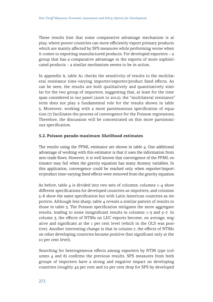These results hint that some comparative advantage mechanism is at play, where poorer countries can more efficiently export primary products which are mainly affected by SPS measures while performing worse when it comes to exporting manufactured products. For developed exporters – a group that has a comparative advantage in the exports of more sophisticated products – a similar mechanism seems to be in action.

In appendix A, table A1 checks the sensitivity of results to the multilateral resistance time-varying importer/exporter/product fixed effects. As can be seen, the results are both qualitatively and quantitatively similar for the two group of importers, suggesting that, at least for the time span considered in our panel (2006 to 2012), the "multilateral resistance" term does not play a fundamental role for the results shown in table 3. Moreover, working with a more parsimonious specification of equation (7) facilitates the process of convergence for the Poisson regressions. Therefore, the discussion will be concentrated on this more parsimonious specification.

#### **5.2. Poisson pseudo-maximum likelihood estimates**

The results using the PPML estimator are shown in table 4. One additional advantage of working with this estimator is that it uses the information from zero trade flows. However, it is well known that convergence of the PPML estimator may fail when the gravity equation has many dummy variables. In this application, convergence could be reached only when exporter/importer/product time-varying fixed effects were removed from the gravity equation.

As before, table  $4$  is divided into two sets of columns: columns  $1-4$  show different specifications for developed countries as importers, and columns 5–8 show the same specification but with Latin American countries as importers. Although less sharp, table 4 reveals a similar pattern of results to those in table 3. The Poisson specification mitigates the more aggregate results, leading to some insignificant results in columns 1–3 and 5–7. In column 3, the effects of NTMs on LDC exports become, on average, negative and significant at the 1 per cent level (which in the OLS was positive). Another interesting change is that in column 7, the effects of NTMs on other developing countries became positive (but significant only at the 10 per cent level).

Searching for heterogeneous effects among exporters by NTM type (columns 4 and 8) confirms the previous results. SPS measures from both groups of importers have a strong and negative impact on developing countries (roughly 43 per cent and 62 per cent drop for SPS by developed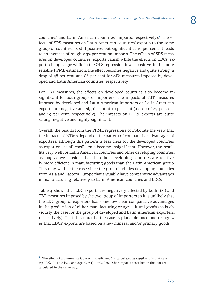countries' and Latin American countries' imports, respectively).**<sup>3</sup>** The effects of SPS measures on Latin American countries' exports to the same group of countries is still positive, but significant at 10 per cent. It leads to an increase of roughly 32 per cent on imports. The effects of SPS measures on developed countries' exports vanish while the effects on LDCs' exports change sign: while in the OLS regression it was positive, in the more reliable PPML estimation, the effect becomes negative and quite strong (a drop of 58 per cent and 86 per cent for SPS measures imposed by developed and Latin American countries, respectively).

For TBT measures, the effects on developed countries also become insignificant for both groups of importers. The impacts of TBT measures imposed by developed and Latin American importers on Latin American exports are negative and significant at 10 per cent (a drop of 29 per cent and 19 per cent, respectively). The impacts on LDCs' exports are quite strong, negative and highly significant.

Overall, the results from the PPML regressions corroborate the view that the impacts of NTMs depend on the pattern of comparative advantages of exporters, although this pattern is less clear for the developed countries as exporters, as all coefficients become insignificant. However, the result fits very well for Latin American countries and other developing countries, as long as we consider that the other developing countries are relatively more efficient in manufacturing goods than the Latin American group. This may well be the case since the group includes developing countries from Asia and Eastern Europe that arguably have comparative advantages in manufacturing relatively to Latin American countries and LDCs.

Table 4 shows that LDC exports are negatively affected by both SPS and TBT measures imposed by the two group of importers so it is unlikely that the LDC group of exporters has somehow clear comparative advantages in the production of either manufacturing or agricultural goods (as is obviously the case for the group of developed and Latin American exporters, respectively). That this must be the case is plausible once one recognizes that LDCs' exports are based on a few mineral and/or primary goods.

**<sup>3</sup>** The effect of a dummy variable with coefficient *β* is calculated as *exp* (*β*) – 1. In that case, *exp* (-0.574) –1 = 0.4367 and *exp* (-0.981) –1 = 0.6250. Other impacts described in the text are calculated in the same way.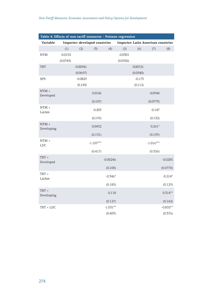| Table 4: Effects of non-tariff measures - Poisson regression |           |                               |             |            |           |                                           |             |            |  |
|--------------------------------------------------------------|-----------|-------------------------------|-------------|------------|-----------|-------------------------------------------|-------------|------------|--|
| Variable                                                     |           | Importer: developed countries |             |            |           | <b>Importer: Latin American countries</b> |             |            |  |
|                                                              | (1)       | (2)                           | (3)         | (4)        | (5)       | (6)                                       | (7)         | (8)        |  |
| <b>NTM</b>                                                   | $-0.0155$ |                               |             |            | $-0.0301$ |                                           |             |            |  |
|                                                              | (0.0745)  |                               |             |            | (0.0536)  |                                           |             |            |  |
| <b>TBT</b>                                                   |           | $-0.00941$                    |             |            |           | 0.00721                                   |             |            |  |
|                                                              |           | (0.0697)                      |             |            |           | (0.0540)                                  |             |            |  |
| <b>SPS</b>                                                   |           | $-0.0829$                     |             |            |           | $-0.173$                                  |             |            |  |
|                                                              |           | (0.143)                       |             |            |           | (0.112)                                   |             |            |  |
| $NTM \times$<br>Developed                                    |           |                               | 0.0106      |            |           |                                           | $-0.0944$   |            |  |
|                                                              |           |                               | (0.107)     |            |           |                                           | (0.0773)    |            |  |
| $NTM \times$                                                 |           |                               |             |            |           |                                           |             |            |  |
| LatAm                                                        |           |                               | $-0.203$    |            |           |                                           | $-0.147$    |            |  |
|                                                              |           |                               | (0.195)     |            |           |                                           | (0.132)     |            |  |
| $NTM \times$<br>Developing                                   |           |                               | 0.0432      |            |           |                                           | $0.261*$    |            |  |
|                                                              |           |                               | (0.131)     |            |           |                                           | (0.139)     |            |  |
| $NTM \times$<br>LDC                                          |           |                               | $-1.107***$ |            |           |                                           | $-1.016***$ |            |  |
|                                                              |           |                               | (0.417)     |            |           |                                           | (0.356)     |            |  |
| TBT ×                                                        |           |                               |             | $-0.00246$ |           |                                           |             | $-0.0285$  |  |
| Developed                                                    |           |                               |             |            |           |                                           |             |            |  |
| TBT ×                                                        |           |                               |             | (0.100)    |           |                                           |             | (0.0770)   |  |
| LatAm                                                        |           |                               |             | $-0.346*$  |           |                                           |             | $-0.214*$  |  |
|                                                              |           |                               |             | (0.185)    |           |                                           |             | (0.129)    |  |
| TBT $\times$<br>Developing                                   |           |                               |             | 0.118      |           |                                           |             | $0.314**$  |  |
|                                                              |           |                               |             | (0.127)    |           |                                           |             | (0.142)    |  |
| TBT × LDC                                                    |           |                               |             | $-1.031**$ |           |                                           |             | $-0.855**$ |  |
|                                                              |           |                               |             | (0.409)    |           |                                           |             | (0.376)    |  |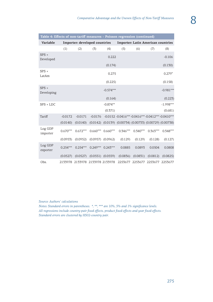| Table 4: Effects of non-tariff measures - Poisson regression (continued) |            |                                 |            |                       |                                                                       |            |                                           |             |
|--------------------------------------------------------------------------|------------|---------------------------------|------------|-----------------------|-----------------------------------------------------------------------|------------|-------------------------------------------|-------------|
| Variable                                                                 |            | Importer: developed countries   |            |                       |                                                                       |            | <b>Importer: Latin American countries</b> |             |
|                                                                          | (1)        | (2)                             | (3)        | (4)                   | (5)                                                                   | (6)        | (7)                                       | (8)         |
| $SPS \times$<br>Developed                                                |            |                                 |            | 0.222                 |                                                                       |            |                                           | $-0.106$    |
|                                                                          |            |                                 |            | (0.174)               |                                                                       |            |                                           | (0.130)     |
| $SPS \times$<br>LatAm                                                    |            |                                 |            | 0.275                 |                                                                       |            |                                           | $0.279*$    |
|                                                                          |            |                                 |            | (0.225)               |                                                                       |            |                                           | (0.158)     |
| $SPS \times$<br>Developing                                               |            |                                 |            | $-0.574***$           |                                                                       |            |                                           | $-0.981***$ |
|                                                                          |            |                                 |            | (0.164)               |                                                                       |            |                                           | (0.223)     |
| $SPS \times LDC$                                                         |            |                                 |            | $-0.874**$            |                                                                       |            |                                           | $-1.998***$ |
|                                                                          |            |                                 |            | (0.371)               |                                                                       |            |                                           | (0.681)     |
| Tariff                                                                   | $-0.0172$  | $-0.0171$                       | $-0.0176$  |                       | -0.0152 -0.0416*** -0.0416*** -0.0412*** -0.0410***                   |            |                                           |             |
|                                                                          | (0.0140)   | (0.0140)                        |            |                       | $(0.0142)$ $(0.0139)$ $(0.00734)$ $(0.00733)$ $(0.00729)$ $(0.00738)$ |            |                                           |             |
| Log GDP<br>importer                                                      | $0.670***$ | $0.672***$                      |            | $0.660***$ 0.660***   | $0.346***$                                                            | $0.340***$ | $0.363***$                                | $0.348***$  |
|                                                                          | (0.0953)   | (0.0952)                        |            | $(0.0957)$ $(0.0962)$ | (0.129)                                                               | (0.129)    | (0.128)                                   | (0.127)     |
| Log GDP<br>exporter                                                      | $0.254***$ | $0.254***$                      | $0.249***$ | $0.243***$            | 0.0885                                                                | 0.0893     | 0.0504                                    | 0.0808      |
|                                                                          | (0.0527)   | (0.0527)                        |            | $(0.0551)$ $(0.0559)$ | (0.0836)                                                              | (0.0831)   | (0.0812)                                  | (0.0825)    |
| Obs.                                                                     |            | 2133978 2133978 2133978 2133978 |            |                       |                                                                       |            | 2253677 2253677 2253677 2253677           |             |

*Source: Authors' calculations*

*Notes: Standard errors in parentheses. \*, \*\*, \*\*\* are 10%, 5% and 1% significance levels. All regressions include country-pair fixed effects, product fixed-effects and year fixed-effects. Standard errors are clustered by HS02-country pair.*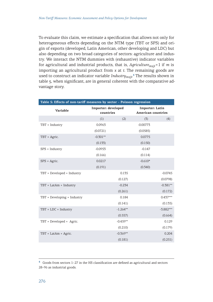To evaluate this claim, we estimate a specification that allows not only for heterogeneous effects depending on the NTM type (TBT or SPS) and origin of exports (developed, Latin American, other developing and LDC) but also depending on two broad categories of sectors: agriculture and industry. We interact the NTM dummies with (exhaustive) indicator variables for agricultural and industrial products, that is, *Agriculturemxjt* = 1 if *m* is importing an agricultural product from *x* at *t*. The remaining goods are used to construct an indicator variable *Industrymxjt*. **<sup>4</sup>** The results shown in table 5, when significant, are in general coherent with the comparative advantage story.

| Table 5: Effects of non-tariff measures by sector - Poisson regression |                                  |            |                                       |             |  |  |  |  |
|------------------------------------------------------------------------|----------------------------------|------------|---------------------------------------|-------------|--|--|--|--|
| Variable                                                               | Importer: developed<br>countries |            | Importer: Latin<br>American countries |             |  |  |  |  |
|                                                                        | (1)                              | (2)        | (3)                                   | (4)         |  |  |  |  |
| TBT × Industry                                                         | 0.0963                           |            | $-0.00773$                            |             |  |  |  |  |
|                                                                        | (0.0721)                         |            | (0.0585)                              |             |  |  |  |  |
| TBT × Agric.                                                           | $-0.301**$                       |            | 0.0775                                |             |  |  |  |  |
|                                                                        | (0.133)                          |            | (0.150)                               |             |  |  |  |  |
| SPS × Industry                                                         | $-0.0953$                        |            | $-0.147$                              |             |  |  |  |  |
|                                                                        | (0.166)                          |            | (0.114)                               |             |  |  |  |  |
| $SPS \times Agric$ .                                                   | 0.0217                           |            | $-0.610*$                             |             |  |  |  |  |
|                                                                        | (0.191)                          |            | (0.340)                               |             |  |  |  |  |
| TBT × Developed × Industry                                             |                                  | 0.135      |                                       | $-0.0745$   |  |  |  |  |
|                                                                        |                                  | (0.127)    |                                       | (0.0798)    |  |  |  |  |
| TBT × LatAm × Industry                                                 |                                  | $-0.234$   |                                       | $-0.381**$  |  |  |  |  |
|                                                                        |                                  | (0.261)    |                                       | (0.172)     |  |  |  |  |
| $TBT \times Development$                                               |                                  | 0.184      |                                       | $0.437***$  |  |  |  |  |
|                                                                        |                                  | (0.141)    |                                       | (0.135)     |  |  |  |  |
| $TBT \times LDC \times Industry$                                       |                                  | $-1.264**$ |                                       | $-3.882***$ |  |  |  |  |
|                                                                        |                                  | (0.557)    |                                       | (0.664)     |  |  |  |  |
| TBT $\times$ Developed $\times$ Agric.                                 |                                  | $-0.459**$ |                                       | 0.129       |  |  |  |  |
|                                                                        |                                  | (0.210)    |                                       | (0.179)     |  |  |  |  |
| TBT × LatAm × Agric.                                                   |                                  | $-0.369**$ |                                       | 0.204       |  |  |  |  |
|                                                                        |                                  | (0.181)    |                                       | (0.251)     |  |  |  |  |

**<sup>4</sup>** Goods from sectors 1–27 in the HS classification are defined as agricultural and sectors 28–96 as industrial goods.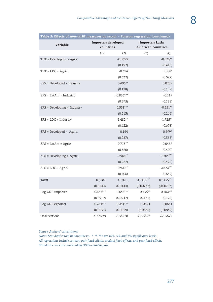| Table 5: Effects of non-tariff measures by sector - Poisson regression (continued) |                                  |             |                                              |              |
|------------------------------------------------------------------------------------|----------------------------------|-------------|----------------------------------------------|--------------|
| Variable                                                                           | Importer: developed<br>countries |             | Importer: Latin<br><b>American countries</b> |              |
|                                                                                    | (1)                              | (2)         | (3)                                          | (4)          |
| TBT × Developing × Agric.                                                          |                                  | $-0.0693$   |                                              | $-0.835**$   |
|                                                                                    |                                  | (0.192)     |                                              | (0.415)      |
| TBT $\times$ LDC $\times$ Agric.                                                   |                                  | $-0.374$    |                                              | 1.008*       |
|                                                                                    |                                  | (0.332)     |                                              | (0.597)      |
| SPS × Developed × Industry                                                         |                                  | $0.405**$   |                                              | 0.0209       |
|                                                                                    |                                  | (0.198)     |                                              | (0.129)      |
| $SPS \times LatAm \times Industry$                                                 |                                  | $-0.863***$ |                                              | $-0.119$     |
|                                                                                    |                                  | (0.295)     |                                              | (0.188)      |
| $SPS \times Development$                                                           |                                  | $-0.551***$ |                                              | $-0.551**$   |
|                                                                                    |                                  | (0.213)     |                                              | (0.264)      |
| $SPS \times LDC \times Industry$                                                   |                                  | $-1.482**$  |                                              | $-1.725**$   |
|                                                                                    |                                  | (0.622)     |                                              | (0.678)      |
| $SPS \times Development \times$ Agric.                                             |                                  | 0.164       |                                              | $-0.599*$    |
|                                                                                    |                                  | (0.257)     |                                              | (0.353)      |
| $SPS \times LatAm \times Agric.$                                                   |                                  | $0.718**$   |                                              | $-0.0457$    |
|                                                                                    |                                  | (0.320)     |                                              | (0.400)      |
| $SPS \times Developing \times Agric.$                                              |                                  | $-0.566**$  |                                              | $-1.504***$  |
|                                                                                    |                                  | (0.227)     |                                              | (0.422)      |
| $SPS \times LDC \times Agric.$                                                     |                                  | $-0.929**$  |                                              | $-2.672***$  |
|                                                                                    |                                  | (0.406)     |                                              | (0.642)      |
| Tariff                                                                             | $-0.0187$                        | $-0.0161$   | $-0.0416***$                                 | $-0.0435***$ |
|                                                                                    | (0.0142)                         | (0.0144)    | (0.00732)                                    | (0.00753)    |
| Log GDP importer                                                                   | $0.655***$                       | $0.638***$  | $0.335**$                                    | $0.362***$   |
|                                                                                    | (0.0919)                         | (0.0947)    | (0.131)                                      | (0.128)      |
| Log GDP exporter                                                                   | $0.254***$                       | $0.241***$  | 0.0894                                       | 0.0641       |
|                                                                                    | (0.0531)                         | (0.0539)    | (0.0833)                                     | (0.0832)     |
| Observations                                                                       | 2133978                          | 2133978     | 2253677                                      | 2253677      |

*Source: Authors' calculations*

*Notes: Standard errors in parentheses. \*, \*\*, \*\*\* are 10%, 5% and 1% significance levels. All regressions include country-pair fixed effects, product fixed-effects, and year fixed-effects. Standard errors are clustered by HS02-country pair.*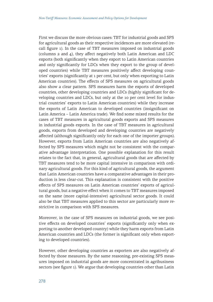First we discuss the more obvious cases: TBT for industrial goods and SPS for agricultural goods as their respective incidences are more elevated (recall figure 1). In the case of TBT measures imposed on industrial goods (columns 2 and 4), they affect negatively both Latin American and LDC exports (both significantly when they export to Latin American countries and only significantly for LDCs when they export to the group of developed countries) while TBT measures positively affect developing countries' exports (significantly at 1 per cent, but only when exporting to Latin American countries). The effects of SPS measures on agricultural goods also show a clear pattern. SPS measures harm the exports of developed countries, other developing countries and LDCs (highly significant for developing countries and LDCs, but only at the 10 per cent level for industrial countries' exports to Latin American countries) while they increase the exports of Latin American to developed countries (insignificant on Latin America – Latin America trade). We find some mixed results for the cases of TBT measures in agricultural goods exports and SPS measures in industrial goods exports. In the case of TBT measures in agricultural goods, exports from developed and developing countries are negatively affected (although significantly only for each one of the importer groups). However, exports from Latin American countries are also negatively affected by SPS measures which might not be consistent with the comparative advantage interpretation. One possible explanation for this result relates to the fact that, in general, agricultural goods that are affected by TBT measures tend to be more capital intensive in comparison with ordinary agricultural goods. For this kind of agricultural goods, the argument that Latin American countries have a comparative advantages in their production is less clear-cut. This explanation is consistent with the positive effects of SPS measures on Latin American countries' exports of agricultural goods, but a negative effect when it comes to TBT measures imposed on the same (more capital-intensive) agricultural sector goods. It could also be that TBT measures applied to this sector are particularly more restrictive in comparison with SPS measures.

Moreover, in the case of SPS measures on industrial goods, we see positive effects on developed countries' exports (significantly only when exporting to another developed country) while they harm exports from Latin American countries and LDCs (the former is significant only when exporting to developed countries).

However, other developing countries as exporters are also negatively affected by those measures. By the same reasoning, pre-existing SPS measures imposed on industrial goods are more concentrated in agribusiness sectors (see figure 1). We argue that developing countries other than Latin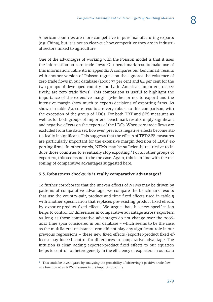American countries are more competitive in pure manufacturing exports (e.g. China), but it is not so clear-cut how competitive they are in industrial sectors linked to agriculture.

One of the advantages of working with the Poisson model is that it uses the information on zero trade flows. Our benchmark results make use of this information. Table A2 in appendix A compares our benchmark results with another version of Poisson regression that ignores the existence of zero trade flows in our database (about 73 per cent and 84 per cent for the two groups of developed country and Latin American importers, respectively, are zero trade flows). This comparison is useful to highlight the importance of the extensive margin (whether or not to export) and the intensive margin (how much to export) decisions of exporting firms. As shown in table A2, core results are very robust to this comparison, with the exception of the group of LDCs. For both TBT and SPS measures as well as for both groups of importers, benchmark results imply significant and negative effects on the exports of the LDCs. When zero trade flows are excluded from the data set, however, previous negative effects become statistically insignificant. This suggests that the effects of TBT/SPS measures are particularly important for the extensive margin decision of LDCs' exporting firms. In other words, NTMs may be sufficiently restrictive to induce those countries to eventually stop exporting.**<sup>5</sup>** For all other groups of exporters, this seems not to be the case. Again, this is in line with the reasoning of comparative advantages suggested here.

#### **5.3. Robustness checks: is it really comparative advantages?**

To further corroborate that the uneven effects of NTMs may be driven by patterns of comparative advantage, we compare the benchmark results that use the country-pair, product and time fixed effects used in table 5 with another specification that replaces pre-existing product fixed effects by exporter-product fixed effects. We argue that this new specification helps to control for differences in comparative advantage across exporters. As long as those comparative advantages do not change over the 2006– 2012 time span considered in our database – which seems to be the case, as the multilateral resistance term did not play any significant role in our previous regressions – these new fixed effects (exporter-product fixed effects) may indeed control for differences in comparative advantage. The intuition is clear: adding exporter-product fixed effects to our equation helps to control for heterogeneity in the efficiency of exporters in our data

**<sup>5</sup>** This could be investigated by analysing the probability of observing a positive trade flow as a function of an NTM measure in the importing country.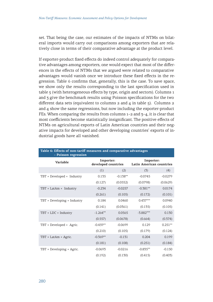set. That being the case, our estimates of the impacts of NTMs on bilateral imports would carry out comparisons among exporters that are relatively close in terms of their comparative advantage at the product level.

If exporter-product fixed effects do indeed control adequately for comparative advantages among exporters, one would expect that most of the differences in the effects of NTMs that we argued were related to comparative advantages would vanish once we introduce these fixed effects in the regression. Table 6 confirms that, generally, this is the case. To save space, we show only the results corresponding to the last specification used in table 5 (with heterogeneous effects by type, origin and sectors). Columns 1 and 3 give the benchmark results using Poisson specifications for the two different data sets (equivalent to columns  $2$  and  $4$  in table  $5$ ). Columns  $2$ and 4 show the same regressions, but now including the exporter-product FEs. When comparing the results from columns  $1-2$  and  $3-4$ , it is clear that most coefficients become statistically insignificant. The positive effects of NTMs on agricultural exports of Latin American countries and their negative impacts for developed and other developing countries' exports of industrial goods have all vanished.

| Table 6: Effects of non-tariff measures and comparative advantages<br>- Poisson regression |                                  |            |                                       |           |  |  |  |  |  |  |
|--------------------------------------------------------------------------------------------|----------------------------------|------------|---------------------------------------|-----------|--|--|--|--|--|--|
| Variable                                                                                   | Importer:<br>developed countries |            | Importer:<br>Latin American countries |           |  |  |  |  |  |  |
|                                                                                            | (1)                              | (2)        | (3)                                   | (4)       |  |  |  |  |  |  |
| $TBT \times Development \times Industry$                                                   | 0.135                            | $-0.138**$ | $-0.0745$                             | $-0.0279$ |  |  |  |  |  |  |
|                                                                                            | (0.127)                          | (0.0552)   | (0.0798)                              | (0.0629)  |  |  |  |  |  |  |
| $TBT \times LatAm \times Industry$                                                         | $-0.234$                         | $-0.0257$  | $-0.381**$                            | 0.0174    |  |  |  |  |  |  |
|                                                                                            | (0.261)                          | (0.105)    | (0.172)                               | (0.101)   |  |  |  |  |  |  |
| $TBT \times Development$                                                                   | 0.184                            | 0.0460     | $0.437***$                            | 0.0940    |  |  |  |  |  |  |
|                                                                                            | (0.141)                          | (0.0361)   | (0.135)                               | (0.105)   |  |  |  |  |  |  |
| $TBT \times LDC \times Industry$                                                           | $-1.264**$                       | 0.0565     | $-5.882***$                           | 0.130     |  |  |  |  |  |  |
|                                                                                            | (0.557)                          | (0.0678)   | (0.664)                               | (0.374)   |  |  |  |  |  |  |
| TBT $\times$ Developed $\times$ Agric.                                                     | $-0.459**$                       | $-0.0699$  | 0.129                                 | $0.251**$ |  |  |  |  |  |  |
|                                                                                            | (0.210)                          | (0.105)    | (0.179)                               | (0.124)   |  |  |  |  |  |  |
| $TBT \times LatAm \times Agric.$                                                           | $-0.369**$                       | $-0.131$   | 0.204                                 | 0.199     |  |  |  |  |  |  |
|                                                                                            | (0.181)                          | (0.108)    | (0.251)                               | (0.184)   |  |  |  |  |  |  |
| TBT $\times$ Developing $\times$ Agric.                                                    | $-0.0693$                        | $-0.0216$  | $-0.835**$                            | $-0.150$  |  |  |  |  |  |  |
|                                                                                            | (0.192)                          | (0.130)    | (0.415)                               | (0.403)   |  |  |  |  |  |  |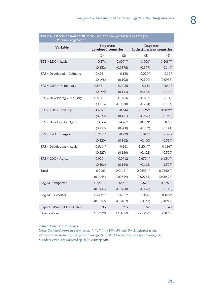| Table 6: Effects of non-tariff measures and comparative advantages<br>- Poisson regression |                                  |             |                                       |              |  |  |  |  |
|--------------------------------------------------------------------------------------------|----------------------------------|-------------|---------------------------------------|--------------|--|--|--|--|
| Variable                                                                                   | Importer:<br>developed countries |             | Importer:<br>Latin American countries |              |  |  |  |  |
|                                                                                            | (1)                              | (2)         | (3)                                   | (4)          |  |  |  |  |
| $TBT \times LDC \times Agric.$                                                             | $-0.374$                         | $-0.609***$ | $1.008*$                              | $-1.408***$  |  |  |  |  |
|                                                                                            | (0.332)                          | (0.0875)    | (0.597)                               | (0.149)      |  |  |  |  |
| $SPS \times Development \times Industry$                                                   | $0.405**$                        | $-0.130$    | 0.0209                                | $-0.127$     |  |  |  |  |
|                                                                                            | (0.198)                          | (0.108)     | (0.129)                               | (0.0956)     |  |  |  |  |
| $SPS \times LatAm \times Industry$                                                         | $-0.863***$                      | 0.0286      | $-0.119$                              | $-0.0408$    |  |  |  |  |
|                                                                                            | (0.295)                          | (0.133)     | (0.188)                               | (0.120)      |  |  |  |  |
| $SPS \times Developing \times Industry$                                                    | $-0.551***$                      | $-0.0226$   | $-0.551**$                            | 0.118        |  |  |  |  |
|                                                                                            | (0.213)                          | (0.0628)    | (0.264)                               | (0.153)      |  |  |  |  |
| $SPS \times LDC \times Industry$                                                           | $-1.482**$                       | $-0.344$    | $-1.725**$                            | $0.789***$   |  |  |  |  |
|                                                                                            | (0.622)                          | (0.411)     | (0.678)                               | (0.265)      |  |  |  |  |
| $SPS \times Development \times$ Agric.                                                     | 0.164                            | $0.437**$   | $-0.599*$                             | 0.0796       |  |  |  |  |
|                                                                                            | (0.257)                          | (0.200)     | (0.353)                               | (0.141)      |  |  |  |  |
| $SPS \times LatAm \times Agric.$                                                           | $0.718**$                        | $-0.239$    | $-0.0457$                             | $-0.482$     |  |  |  |  |
|                                                                                            | (0.320)                          | (0.162)     | (0.400)                               | (0.319)      |  |  |  |  |
| $SPS \times Developing \times Agric.$                                                      | $-0.566**$                       | $-0.161$    | $-1.504***$                           | $-0.656**$   |  |  |  |  |
|                                                                                            | (0.227)                          | (0.156)     | (0.422)                               | (0.320)      |  |  |  |  |
| $SPS \times LDC \times Agric$ .                                                            | $-0.929**$                       | 0.0712      | $-2.672***$                           | $-6.134***$  |  |  |  |  |
|                                                                                            | (0.406)                          | (0.154)     | (0.642)                               | (1.397)      |  |  |  |  |
| Tariff                                                                                     | $-0.0161$                        | $-0.0115**$ | $-0.0435***$                          | $-0.0340***$ |  |  |  |  |
|                                                                                            | (0.0144)                         | (0.00559)   | (0.00753)                             | (0.00494)    |  |  |  |  |
| Log GDP importer                                                                           | $0.638***$                       | $0.633***$  | $0.362***$                            | $0.326***$   |  |  |  |  |
|                                                                                            | (0.0947)                         | (0.0768)    | (0.128)                               | (0.118)      |  |  |  |  |
| Log GDP exporter                                                                           | $0.241***$                       | $0.278***$  | 0.0641                                | $0.183**$    |  |  |  |  |
|                                                                                            | (0.0539)                         | (0.0462)    | (0.0832)                              | (0.0919)     |  |  |  |  |
| Exporter-Product Fixed effect                                                              | N <sub>o</sub>                   | Yes         | N <sub>o</sub>                        | Yes          |  |  |  |  |
| Observations                                                                               | 2133978                          | 1214899     | 2253677                               | 778208       |  |  |  |  |

**Table 6: Effects of non-tariff measures and comparative advantages**

#### *Source: Authors' calculations*

*Notes: Standard errors in parentheses. \*, \*\*, \*\*\* are 10%, 5% and 1% significance levels. All regressions include country-Pair fixed effects, product fixed-effects, and year fixed-effects. Standard errors are clustered by HS02-country pair.*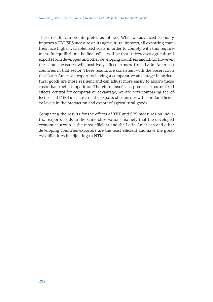These results can be interpreted as follows. When an advanced economy imposes a TBT/SPS measure on its agricultural imports, all exporting countries face higher variable/fixed costs in order to comply with this requirement. In equilibrium, the final effect will be that it decreases agricultural exports from developed and other developing countries and LDCs. However, the same measures will positively affect exports from Latin American countries in that sector. These results are consistent with the observation that Latin American exporters having a comparative advantage in agricultural goods are more resilient and can adjust more easily to absorb these costs than their competitors. Therefore, insofar as product-exporter fixed effects control for comparative advantage, we are now comparing the effects of TBT/SPS measures on the exports of countries with similar efficiency levels in the production and export of agricultural goods.

Comparing the results for the effects of TBT and SPS measures on industrial exports leads to the same observations, namely that the developed economies group is the most efficient and the Latin American and other developing countries exporters are the least efficient and have the greatest difficulties in adjusting to NTMs.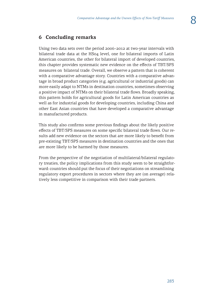# **6 Concluding remarks**

Using two data sets over the period 2006–2012 at two-year intervals with bilateral trade data at the HS04 level, one for bilateral imports of Latin American countries, the other for bilateral import of developed countries, this chapter provides systematic new evidence on the effects of TBT/SPS measures on bilateral trade. Overall, we observe a pattern that is coherent with a comparative advantage story. Countries with a comparative advantage in broad product categories (e.g. agricultural or industrial goods) can more easily adapt to NTMs in destination countries, sometimes observing a positive impact of NTMs on their bilateral trade flows. Broadly speaking, this pattern holds for agricultural goods for Latin American countries as well as for industrial goods for developing countries, including China and other East Asian countries that have developed a comparative advantage in manufactured products.

This study also confirms some previous findings about the likely positive effects of TBT/SPS measures on some specific bilateral trade flows. Our results add new evidence on the sectors that are more likely to benefit from pre-existing TBT/SPS measures in destination countries and the ones that are more likely to be harmed by those measures.

From the perspective of the negotiation of multilateral/bilateral regulatory treaties, the policy implications from this study seem to be straightforward: countries should put the focus of their negotiations on streamlining regulatory export procedures in sectors where they are (on average) relatively less competitive in comparison with their trade partners.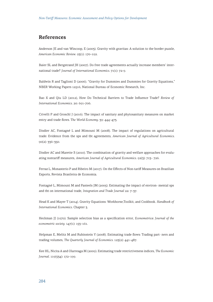# **References**

Anderson JE and van Wincoop, E (2003). Gravity with gravitas: A solution to the border puzzle, *American Economic Review*. 93(1): 170–192.

Baier SL and Bergstrand JH (2007). Do free trade agreements actually increase members' international trade? *Journal of International Economics*. 71(1): 72-9.

Baldwin R and Taglioni D (2006). "Gravity for Dummies and Dummies for Gravity Equations," NBER Working Papers 12516, National Bureau of Economic Research, Inc.

Bao X and Qiu LD (2012), How Do Technical Barriers to Trade Influence Trade? *Review of International Economics*. 20: 691–706.

Crivelli P and Groschl J (2016). The impact of sanitary and phytosanitary measures on market entry and trade flows. T*he World Economy*. 39: 444–473.

Disdier AC, Fontagné L and Mimouni M (2008). The impact of regulations on agricultural trade: Evidence from the sps and tbt agreements, *American Journal of Agricultural Economics*. 90(2): 336–350.

Disdier AC and Marette S (2010). The combination of gravity and welfare approaches for evaluating nontariff measures, *American Journal of Agricultural Economics*. 92(3): 713– 726.

Ferraz L, Monasterio P and Ribeiro M (2017). On the Effects of Non-tariff Measures on Brazilian Exports, Revista Brasileira de Economia.

Fontagné L, Mimouni M and Pasteels JM (2005). Estimating the impact of environ- mental sps and tbt on international trade, *Integration and Trade Journal* 22: 7–37.

Head K and Mayer T (2014). Gravity Equations: Workhorse,Toolkit, and Cookbook. *Handbook of International Economics*. Chapter 3.

Heckman JJ (1979). Sample selection bias as a specification error, *Econometrica: Journal of the econometric society*. 147(1): 153–161.

Helpman E, Melitz M and Rubinstein Y (2008). Estimating trade flows: Trading part- ners and trading volumes, *The Quarterly Journal of Economics*. 123(2): 441–487.

Kee HL, Nicita A and Olarreaga M (2009). Estimating trade restrictiveness indices, *The Economic Journal*. 119(534): 172–199.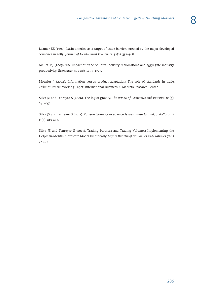Leamer EE (1990). Latin america as a target of trade barriers erected by the major developed countries in 1983, *Journal of Development Economics*. 32(2): 337–368.

Melitz MJ (2003). The impact of trade on intra-industry reallocations and aggregate industry productivity, *Econometrica*. 71(6): 1695–1725.

Moenius J (2004). Information versus product adaptation: The role of standards in trade, *Technical report*, Working Paper, International Business & Markets Research Center.

Silva JS and Tenreyro S (2006). The log of gravity, *The Review of Economics and statistics*. 88(4): 641–658.

Silva JS and Tenreyro S (2011). Poisson: Some Convergence Issues. *Stata Journal*, StataCorp LP, 11(2), 215-225.

Silva JS and Tenreyro S (2015). Trading Partners and Trading Volumes: Implementing the Helpman-Melitz-Rubinstein Model Empirically. *Oxford Bulletin of Economics and Statistics*. 77(1), 93-105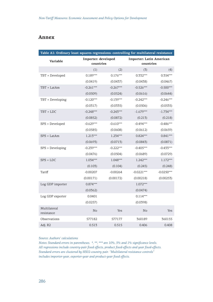# **Annex**

| Table A1: Ordinary least squares regressions: controlling for multilateral resistance |             |                                  |              |                                              |  |  |  |
|---------------------------------------------------------------------------------------|-------------|----------------------------------|--------------|----------------------------------------------|--|--|--|
| Variable                                                                              |             | Importer: developed<br>countries |              | <b>Importer: Latin American</b><br>countries |  |  |  |
|                                                                                       | (1)         | (2)                              | (3)          | (4)                                          |  |  |  |
| TBT × Developed                                                                       | $0.189***$  | $0.176***$                       | $0.332***$   | $0.354***$                                   |  |  |  |
|                                                                                       | (0.0419)    | (0.0437)                         | (0.0438)     | (0.0467)                                     |  |  |  |
| TBT × LatAm                                                                           | $-0.261***$ | $-0.267***$                      | $-0.526***$  | $-0.500***$                                  |  |  |  |
|                                                                                       | (0.0509)    | (0.0524)                         | (0.0616)     | (0.0644)                                     |  |  |  |
| TBT × Developing                                                                      | $-0.120***$ | $-0.139***$                      | $-0.242***$  | $-0.246***$                                  |  |  |  |
|                                                                                       | (0.0317)    | (0.0335)                         | (0.0506)     | (0.0535)                                     |  |  |  |
| TBT × LDC                                                                             | $-0.248***$ | $-0.243***$                      | $-1.679***$  | $-1.734***$                                  |  |  |  |
|                                                                                       | (0.0852)    | (0.0872)                         | (0.213)      | (0.218)                                      |  |  |  |
| SPS × Developed                                                                       | $-0.629***$ | $-0.610***$                      | $-0.494***$  | $-0.486***$                                  |  |  |  |
|                                                                                       | (0.0585)    | (0.0608)                         | (0.0612)     | (0.0659)                                     |  |  |  |
| $SPS \times LatAm$                                                                    | $1.213***$  | $1.234***$                       | $0.824***$   | $0.841***$                                   |  |  |  |
|                                                                                       | (0.0693)    | (0.0713)                         | (0.0843)     | (0.0871)                                     |  |  |  |
| SPS × Developing                                                                      | $-0.239***$ | $-0.222***$                      | $-0.405***$  | $-0.433***$                                  |  |  |  |
|                                                                                       | (0.0476)    | (0.0504)                         | (0.0689)     | (0.0729)                                     |  |  |  |
| $SPS \times LDC$                                                                      | $1.034***$  | $1.048***$                       | $1.242***$   | $1.172***$                                   |  |  |  |
|                                                                                       | (0.103)     | (0.104)                          | (0.245)      | (0.248)                                      |  |  |  |
| Tariff                                                                                | $-0.00207$  | $-0.00264$                       | $-0.0221***$ | $-0.0250***$                                 |  |  |  |
|                                                                                       | (0.00171)   | (0.00172)                        | (0.00218)    | (0.00253)                                    |  |  |  |
| Log GDP importer                                                                      | $0.874***$  |                                  | $1.072***$   |                                              |  |  |  |
|                                                                                       | (0.0362)    |                                  | (0.0474)     |                                              |  |  |  |
| Log GDP exporter                                                                      | 0.0401      |                                  | $0.114***$   |                                              |  |  |  |
|                                                                                       | (0.0257)    |                                  | (0.0398)     |                                              |  |  |  |
| Multilateral<br>resistance                                                            | No          | Yes                              | No           | Yes                                          |  |  |  |
| Observations                                                                          | 577182      | 577177                           | 360189       | 360155                                       |  |  |  |
| Adj. R2                                                                               | 0.513       | 0.515                            | 0.406        | 0.408                                        |  |  |  |

#### *Source: Authors' calculations*

*Notes: Standard errors in parentheses. \*, \*\*, \*\*\* are 10%, 5% and 1% significance levels. All regressions include country-pair fixed effects, product fixed-effects and year fixed-effects. Standard errors are clustered by HS02-country pair. "Multilateral resistance controls" includes importer-year, exporter-year and product-year fixed effects.*